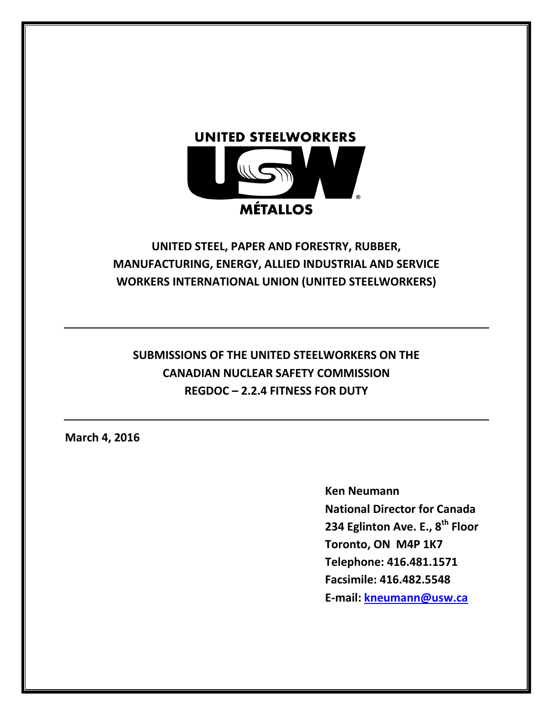

# **UNITED STEEL, PAPER AND FORESTRY, RUBBER, MANUFACTURING, ENERGY, ALLIED INDUSTRIAL AND SERVICE WORKERS INTERNATIONAL UNION (UNITED STEELWORKERS)**

# **SUBMISSIONS OF THE UNITED STEELWORKERS ON THE CANADIAN NUCLEAR SAFETY COMMISSION REGDOC – 2.2.4 FITNESS FOR DUTY**

**March 4, 2016**

**Ken Neumann National Director for Canada 234 Eglinton Ave. E., 8th Floor Toronto, ON M4P 1K7 Telephone: 416.481.1571 Facsimile: 416.482.5548 E-mail: [kneumann@usw.ca](mailto:kneumann@usw.ca)**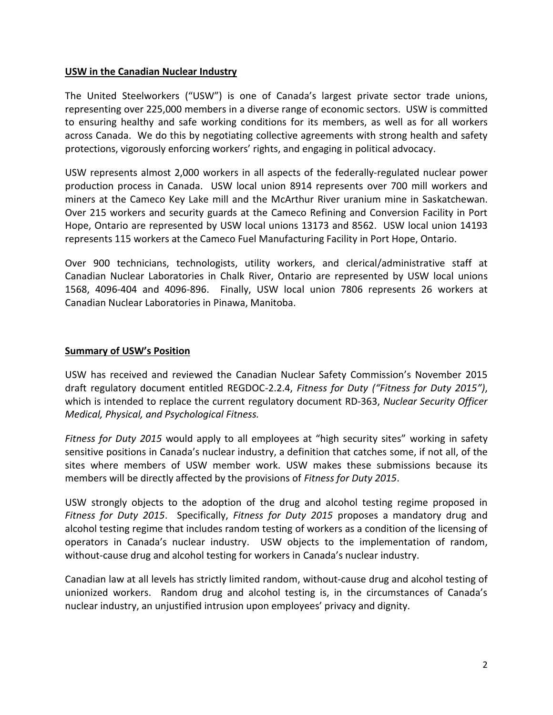#### **USW in the Canadian Nuclear Industry**

The United Steelworkers ("USW") is one of Canada's largest private sector trade unions, representing over 225,000 members in a diverse range of economic sectors. USW is committed to ensuring healthy and safe working conditions for its members, as well as for all workers across Canada. We do this by negotiating collective agreements with strong health and safety protections, vigorously enforcing workers' rights, and engaging in political advocacy.

USW represents almost 2,000 workers in all aspects of the federally-regulated nuclear power production process in Canada. USW local union 8914 represents over 700 mill workers and miners at the Cameco Key Lake mill and the McArthur River uranium mine in Saskatchewan. Over 215 workers and security guards at the Cameco Refining and Conversion Facility in Port Hope, Ontario are represented by USW local unions 13173 and 8562. USW local union 14193 represents 115 workers at the Cameco Fuel Manufacturing Facility in Port Hope, Ontario.

Over 900 technicians, technologists, utility workers, and clerical/administrative staff at Canadian Nuclear Laboratories in Chalk River, Ontario are represented by USW local unions 1568, 4096-404 and 4096-896. Finally, USW local union 7806 represents 26 workers at Canadian Nuclear Laboratories in Pinawa, Manitoba.

### **Summary of USW's Position**

USW has received and reviewed the Canadian Nuclear Safety Commission's November 2015 draft regulatory document entitled REGDOC-2.2.4, *Fitness for Duty ("Fitness for Duty 2015")*, which is intended to replace the current regulatory document RD-363, *Nuclear Security Officer Medical, Physical, and Psychological Fitness.* 

*Fitness for Duty 2015* would apply to all employees at "high security sites" working in safety sensitive positions in Canada's nuclear industry, a definition that catches some, if not all, of the sites where members of USW member work. USW makes these submissions because its members will be directly affected by the provisions of *Fitness for Duty 2015*.

USW strongly objects to the adoption of the drug and alcohol testing regime proposed in *Fitness for Duty 2015*. Specifically, *Fitness for Duty 2015* proposes a mandatory drug and alcohol testing regime that includes random testing of workers as a condition of the licensing of operators in Canada's nuclear industry. USW objects to the implementation of random, without-cause drug and alcohol testing for workers in Canada's nuclear industry.

Canadian law at all levels has strictly limited random, without-cause drug and alcohol testing of unionized workers. Random drug and alcohol testing is, in the circumstances of Canada's nuclear industry, an unjustified intrusion upon employees' privacy and dignity.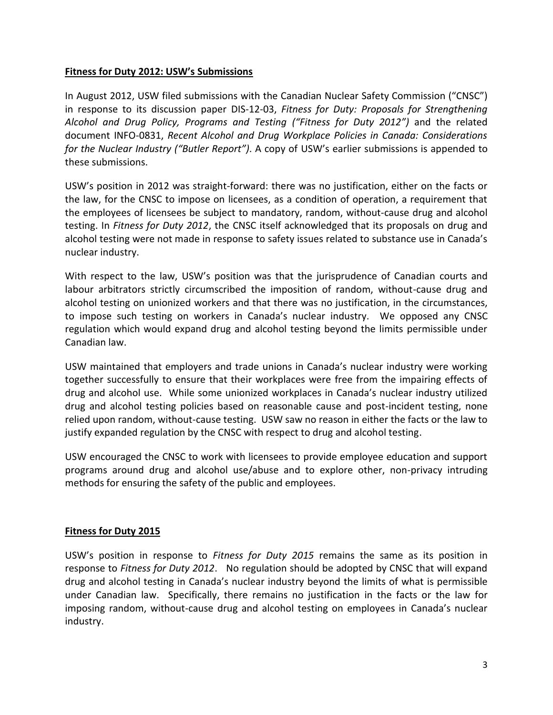### **Fitness for Duty 2012: USW's Submissions**

In August 2012, USW filed submissions with the Canadian Nuclear Safety Commission ("CNSC") in response to its discussion paper DIS-12-03, *Fitness for Duty: Proposals for Strengthening Alcohol and Drug Policy, Programs and Testing ("Fitness for Duty 2012")* and the related document INFO-0831, *Recent Alcohol and Drug Workplace Policies in Canada: Considerations for the Nuclear Industry ("Butler Report")*. A copy of USW's earlier submissions is appended to these submissions.

USW's position in 2012 was straight-forward: there was no justification, either on the facts or the law, for the CNSC to impose on licensees, as a condition of operation, a requirement that the employees of licensees be subject to mandatory, random, without-cause drug and alcohol testing. In *Fitness for Duty 2012*, the CNSC itself acknowledged that its proposals on drug and alcohol testing were not made in response to safety issues related to substance use in Canada's nuclear industry.

With respect to the law, USW's position was that the jurisprudence of Canadian courts and labour arbitrators strictly circumscribed the imposition of random, without-cause drug and alcohol testing on unionized workers and that there was no justification, in the circumstances, to impose such testing on workers in Canada's nuclear industry. We opposed any CNSC regulation which would expand drug and alcohol testing beyond the limits permissible under Canadian law.

USW maintained that employers and trade unions in Canada's nuclear industry were working together successfully to ensure that their workplaces were free from the impairing effects of drug and alcohol use. While some unionized workplaces in Canada's nuclear industry utilized drug and alcohol testing policies based on reasonable cause and post-incident testing, none relied upon random, without-cause testing. USW saw no reason in either the facts or the law to justify expanded regulation by the CNSC with respect to drug and alcohol testing.

USW encouraged the CNSC to work with licensees to provide employee education and support programs around drug and alcohol use/abuse and to explore other, non-privacy intruding methods for ensuring the safety of the public and employees.

## **Fitness for Duty 2015**

USW's position in response to *Fitness for Duty 2015* remains the same as its position in response to *Fitness for Duty 2012*. No regulation should be adopted by CNSC that will expand drug and alcohol testing in Canada's nuclear industry beyond the limits of what is permissible under Canadian law. Specifically, there remains no justification in the facts or the law for imposing random, without-cause drug and alcohol testing on employees in Canada's nuclear industry.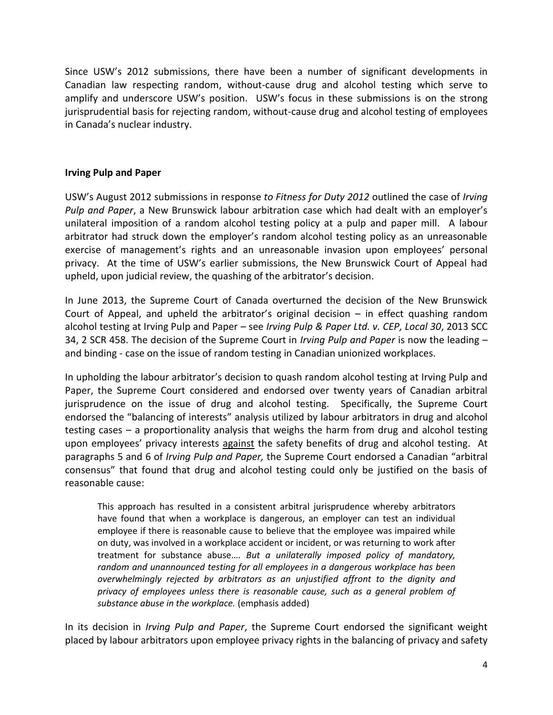Since USW's 2012 submissions, there have been a number of significant developments in Canadian law respecting random, without-cause drug and alcohol testing which serve to amplify and underscore USW's position. USW's focus in these submissions is on the strong jurisprudential basis for rejecting random, without-cause drug and alcohol testing of employees in Canada's nuclear industry.

#### **Irving Pulp and Paper**

USW's August 2012 submissions in response *to Fitness for Duty 2012* outlined the case of *Irving Pulp and Paper*, a New Brunswick labour arbitration case which had dealt with an employer's unilateral imposition of a random alcohol testing policy at a pulp and paper mill. A labour arbitrator had struck down the employer's random alcohol testing policy as an unreasonable exercise of management's rights and an unreasonable invasion upon employees' personal privacy. At the time of USW's earlier submissions, the New Brunswick Court of Appeal had upheld, upon judicial review, the quashing of the arbitrator's decision.

In June 2013, the Supreme Court of Canada overturned the decision of the New Brunswick Court of Appeal, and upheld the arbitrator's original decision – in effect quashing random alcohol testing at Irving Pulp and Paper – see *Irving Pulp & Paper Ltd. v. CEP, Local 30*, 2013 SCC 34, 2 SCR 458. The decision of the Supreme Court in *Irving Pulp and Paper* is now the leading – and binding - case on the issue of random testing in Canadian unionized workplaces.

In upholding the labour arbitrator's decision to quash random alcohol testing at Irving Pulp and Paper, the Supreme Court considered and endorsed over twenty years of Canadian arbitral jurisprudence on the issue of drug and alcohol testing. Specifically, the Supreme Court endorsed the "balancing of interests" analysis utilized by labour arbitrators in drug and alcohol testing cases – a proportionality analysis that weighs the harm from drug and alcohol testing upon employees' privacy interests against the safety benefits of drug and alcohol testing. At paragraphs 5 and 6 of *Irving Pulp and Paper,* the Supreme Court endorsed a Canadian "arbitral consensus" that found that drug and alcohol testing could only be justified on the basis of reasonable cause:

This approach has resulted in a consistent arbitral jurisprudence whereby arbitrators have found that when a workplace is dangerous, an employer can test an individual employee if there is reasonable cause to believe that the employee was impaired while on duty, was involved in a workplace accident or incident, or was returning to work after treatment for substance abuse…. *But a unilaterally imposed policy of mandatory, random and unannounced testing for all employees in a dangerous workplace has been overwhelmingly rejected by arbitrators as an unjustified affront to the dignity and*  privacy of employees unless there is reasonable cause, such as a general problem of *substance abuse in the workplace.* (emphasis added)

In its decision in *Irving Pulp and Paper*, the Supreme Court endorsed the significant weight placed by labour arbitrators upon employee privacy rights in the balancing of privacy and safety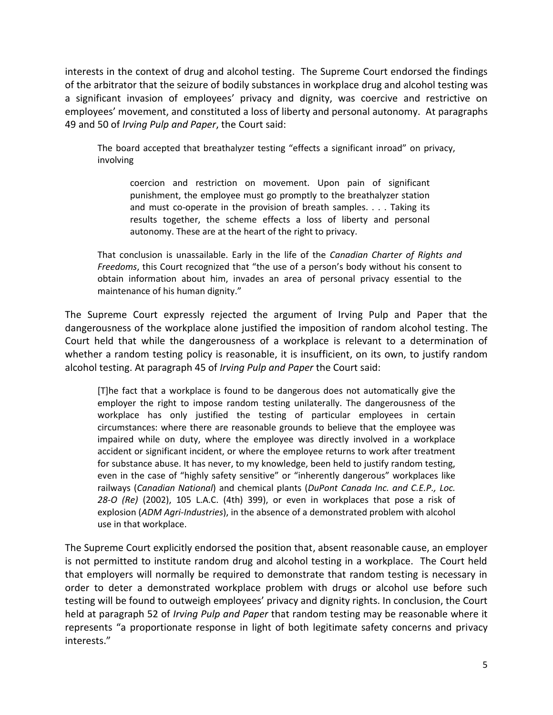interests in the context of drug and alcohol testing. The Supreme Court endorsed the findings of the arbitrator that the seizure of bodily substances in workplace drug and alcohol testing was a significant invasion of employees' privacy and dignity, was coercive and restrictive on employees' movement, and constituted a loss of liberty and personal autonomy. At paragraphs 49 and 50 of *Irving Pulp and Paper*, the Court said:

The board accepted that breathalyzer testing "effects a significant inroad" on privacy, involving

coercion and restriction on movement. Upon pain of significant punishment, the employee must go promptly to the breathalyzer station and must co-operate in the provision of breath samples. . . . Taking its results together, the scheme effects a loss of liberty and personal autonomy. These are at the heart of the right to privacy.

That conclusion is unassailable. Early in the life of the *Canadian Charter of Rights and Freedoms*, this Court recognized that "the use of a person's body without his consent to obtain information about him, invades an area of personal privacy essential to the maintenance of his human dignity."

The Supreme Court expressly rejected the argument of Irving Pulp and Paper that the dangerousness of the workplace alone justified the imposition of random alcohol testing. The Court held that while the dangerousness of a workplace is relevant to a determination of whether a random testing policy is reasonable, it is insufficient, on its own, to justify random alcohol testing. At paragraph 45 of *Irving Pulp and Paper* the Court said:

[T]he fact that a workplace is found to be dangerous does not automatically give the employer the right to impose random testing unilaterally. The dangerousness of the workplace has only justified the testing of particular employees in certain circumstances: where there are reasonable grounds to believe that the employee was impaired while on duty, where the employee was directly involved in a workplace accident or significant incident, or where the employee returns to work after treatment for substance abuse. It has never, to my knowledge, been held to justify random testing, even in the case of "highly safety sensitive" or "inherently dangerous" workplaces like railways (*Canadian National*) and chemical plants (*DuPont Canada Inc. and C.E.P., Loc. 28-O (Re)* (2002), 105 L.A.C. (4th) 399), or even in workplaces that pose a risk of explosion (*ADM Agri-Industries*), in the absence of a demonstrated problem with alcohol use in that workplace.

The Supreme Court explicitly endorsed the position that, absent reasonable cause, an employer is not permitted to institute random drug and alcohol testing in a workplace. The Court held that employers will normally be required to demonstrate that random testing is necessary in order to deter a demonstrated workplace problem with drugs or alcohol use before such testing will be found to outweigh employees' privacy and dignity rights. In conclusion, the Court held at paragraph 52 of *Irving Pulp and Paper* that random testing may be reasonable where it represents "a proportionate response in light of both legitimate safety concerns and privacy interests."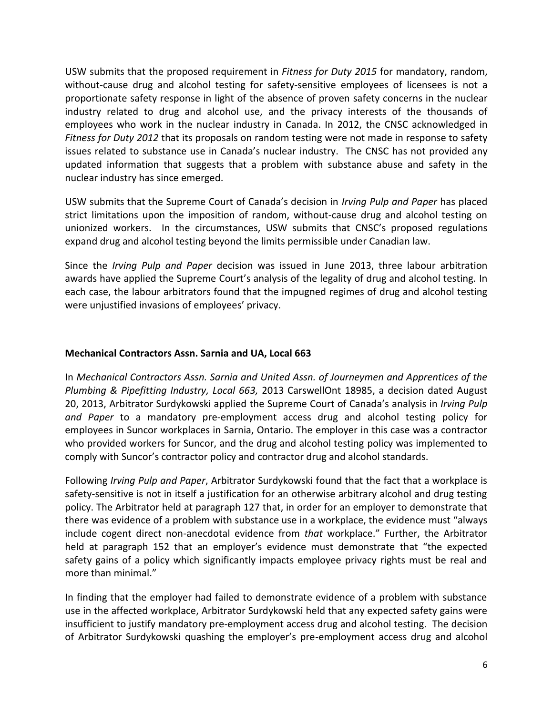USW submits that the proposed requirement in *Fitness for Duty 2015* for mandatory, random, without-cause drug and alcohol testing for safety-sensitive employees of licensees is not a proportionate safety response in light of the absence of proven safety concerns in the nuclear industry related to drug and alcohol use, and the privacy interests of the thousands of employees who work in the nuclear industry in Canada. In 2012, the CNSC acknowledged in *Fitness for Duty 2012* that its proposals on random testing were not made in response to safety issues related to substance use in Canada's nuclear industry. The CNSC has not provided any updated information that suggests that a problem with substance abuse and safety in the nuclear industry has since emerged.

USW submits that the Supreme Court of Canada's decision in *Irving Pulp and Paper* has placed strict limitations upon the imposition of random, without-cause drug and alcohol testing on unionized workers. In the circumstances, USW submits that CNSC's proposed regulations expand drug and alcohol testing beyond the limits permissible under Canadian law.

Since the *Irving Pulp and Paper* decision was issued in June 2013, three labour arbitration awards have applied the Supreme Court's analysis of the legality of drug and alcohol testing*.* In each case, the labour arbitrators found that the impugned regimes of drug and alcohol testing were unjustified invasions of employees' privacy.

### **Mechanical Contractors Assn. Sarnia and UA, Local 663**

In *Mechanical Contractors Assn. Sarnia and United Assn. of Journeymen and Apprentices of the Plumbing & Pipefitting Industry, Local 663,* 2013 CarswellOnt 18985, a decision dated August 20, 2013, Arbitrator Surdykowski applied the Supreme Court of Canada's analysis in *Irving Pulp and Paper* to a mandatory pre-employment access drug and alcohol testing policy for employees in Suncor workplaces in Sarnia, Ontario. The employer in this case was a contractor who provided workers for Suncor, and the drug and alcohol testing policy was implemented to comply with Suncor's contractor policy and contractor drug and alcohol standards.

Following *Irving Pulp and Paper*, Arbitrator Surdykowski found that the fact that a workplace is safety-sensitive is not in itself a justification for an otherwise arbitrary alcohol and drug testing policy. The Arbitrator held at paragraph 127 that, in order for an employer to demonstrate that there was evidence of a problem with substance use in a workplace, the evidence must "always include cogent direct non-anecdotal evidence from *that* workplace." Further, the Arbitrator held at paragraph 152 that an employer's evidence must demonstrate that "the expected safety gains of a policy which significantly impacts employee privacy rights must be real and more than minimal."

In finding that the employer had failed to demonstrate evidence of a problem with substance use in the affected workplace, Arbitrator Surdykowski held that any expected safety gains were insufficient to justify mandatory pre-employment access drug and alcohol testing. The decision of Arbitrator Surdykowski quashing the employer's pre-employment access drug and alcohol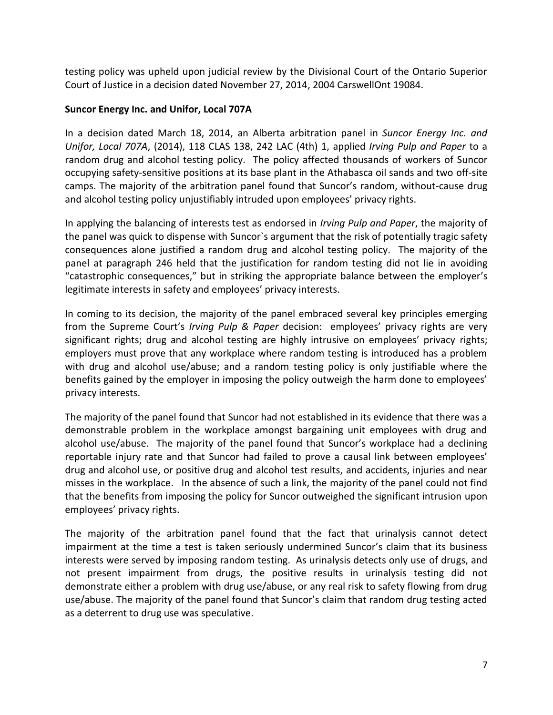testing policy was upheld upon judicial review by the Divisional Court of the Ontario Superior Court of Justice in a decision dated November 27, 2014, 2004 CarswellOnt 19084.

### **Suncor Energy Inc. and Unifor, Local 707A**

In a decision dated March 18, 2014, an Alberta arbitration panel in *Suncor Energy Inc. and Unifor, Local 707A*, (2014), 118 CLAS 138, 242 LAC (4th) 1, applied *Irving Pulp and Paper* to a random drug and alcohol testing policy. The policy affected thousands of workers of Suncor occupying safety-sensitive positions at its base plant in the Athabasca oil sands and two off-site camps. The majority of the arbitration panel found that Suncor's random, without-cause drug and alcohol testing policy unjustifiably intruded upon employees' privacy rights.

In applying the balancing of interests test as endorsed in *Irving Pulp and Paper*, the majority of the panel was quick to dispense with Suncor`s argument that the risk of potentially tragic safety consequences alone justified a random drug and alcohol testing policy. The majority of the panel at paragraph 246 held that the justification for random testing did not lie in avoiding "catastrophic consequences," but in striking the appropriate balance between the employer's legitimate interests in safety and employees' privacy interests.

In coming to its decision, the majority of the panel embraced several key principles emerging from the Supreme Court's *Irving Pulp & Paper* decision: employees' privacy rights are very significant rights; drug and alcohol testing are highly intrusive on employees' privacy rights; employers must prove that any workplace where random testing is introduced has a problem with drug and alcohol use/abuse; and a random testing policy is only justifiable where the benefits gained by the employer in imposing the policy outweigh the harm done to employees' privacy interests.

The majority of the panel found that Suncor had not established in its evidence that there was a demonstrable problem in the workplace amongst bargaining unit employees with drug and alcohol use/abuse. The majority of the panel found that Suncor's workplace had a declining reportable injury rate and that Suncor had failed to prove a causal link between employees' drug and alcohol use, or positive drug and alcohol test results, and accidents, injuries and near misses in the workplace. In the absence of such a link, the majority of the panel could not find that the benefits from imposing the policy for Suncor outweighed the significant intrusion upon employees' privacy rights.

The majority of the arbitration panel found that the fact that urinalysis cannot detect impairment at the time a test is taken seriously undermined Suncor's claim that its business interests were served by imposing random testing. As urinalysis detects only use of drugs, and not present impairment from drugs, the positive results in urinalysis testing did not demonstrate either a problem with drug use/abuse, or any real risk to safety flowing from drug use/abuse. The majority of the panel found that Suncor's claim that random drug testing acted as a deterrent to drug use was speculative.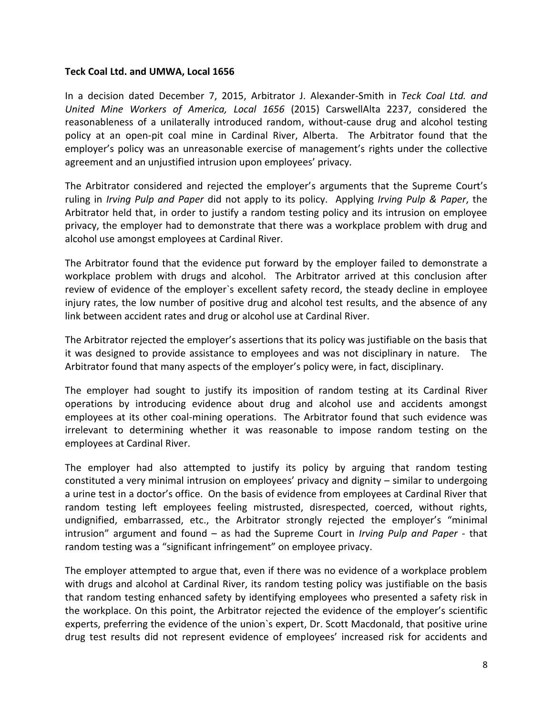#### **Teck Coal Ltd. and UMWA, Local 1656**

In a decision dated December 7, 2015, Arbitrator J. Alexander-Smith in *Teck Coal Ltd. and United Mine Workers of America, Local 1656* (2015) CarswellAlta 2237, considered the reasonableness of a unilaterally introduced random, without-cause drug and alcohol testing policy at an open-pit coal mine in Cardinal River, Alberta. The Arbitrator found that the employer's policy was an unreasonable exercise of management's rights under the collective agreement and an unjustified intrusion upon employees' privacy.

The Arbitrator considered and rejected the employer's arguments that the Supreme Court's ruling in *Irving Pulp and Paper* did not apply to its policy. Applying *Irving Pulp & Paper*, the Arbitrator held that, in order to justify a random testing policy and its intrusion on employee privacy, the employer had to demonstrate that there was a workplace problem with drug and alcohol use amongst employees at Cardinal River.

The Arbitrator found that the evidence put forward by the employer failed to demonstrate a workplace problem with drugs and alcohol. The Arbitrator arrived at this conclusion after review of evidence of the employer`s excellent safety record, the steady decline in employee injury rates, the low number of positive drug and alcohol test results, and the absence of any link between accident rates and drug or alcohol use at Cardinal River.

The Arbitrator rejected the employer's assertions that its policy was justifiable on the basis that it was designed to provide assistance to employees and was not disciplinary in nature. The Arbitrator found that many aspects of the employer's policy were, in fact, disciplinary.

The employer had sought to justify its imposition of random testing at its Cardinal River operations by introducing evidence about drug and alcohol use and accidents amongst employees at its other coal-mining operations. The Arbitrator found that such evidence was irrelevant to determining whether it was reasonable to impose random testing on the employees at Cardinal River.

The employer had also attempted to justify its policy by arguing that random testing constituted a very minimal intrusion on employees' privacy and dignity – similar to undergoing a urine test in a doctor's office. On the basis of evidence from employees at Cardinal River that random testing left employees feeling mistrusted, disrespected, coerced, without rights, undignified, embarrassed, etc., the Arbitrator strongly rejected the employer's "minimal intrusion" argument and found – as had the Supreme Court in *Irving Pulp and Paper* - that random testing was a "significant infringement" on employee privacy.

The employer attempted to argue that, even if there was no evidence of a workplace problem with drugs and alcohol at Cardinal River, its random testing policy was justifiable on the basis that random testing enhanced safety by identifying employees who presented a safety risk in the workplace. On this point, the Arbitrator rejected the evidence of the employer's scientific experts, preferring the evidence of the union`s expert, Dr. Scott Macdonald, that positive urine drug test results did not represent evidence of employees' increased risk for accidents and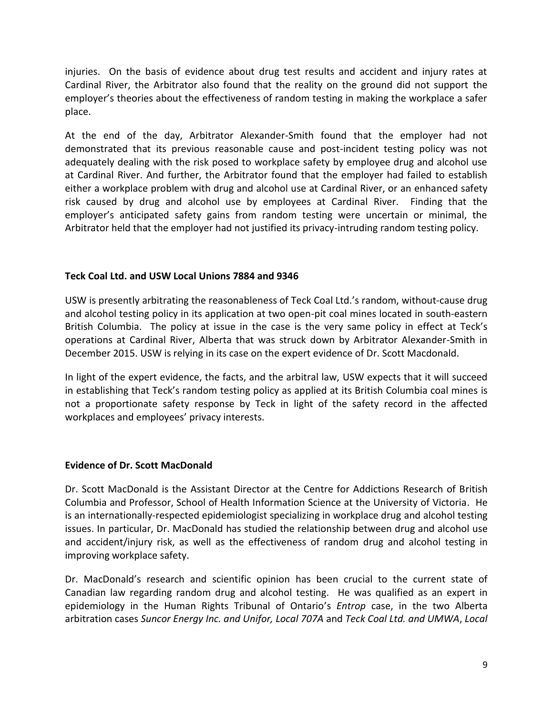injuries. On the basis of evidence about drug test results and accident and injury rates at Cardinal River, the Arbitrator also found that the reality on the ground did not support the employer's theories about the effectiveness of random testing in making the workplace a safer place.

At the end of the day, Arbitrator Alexander-Smith found that the employer had not demonstrated that its previous reasonable cause and post-incident testing policy was not adequately dealing with the risk posed to workplace safety by employee drug and alcohol use at Cardinal River. And further, the Arbitrator found that the employer had failed to establish either a workplace problem with drug and alcohol use at Cardinal River, or an enhanced safety risk caused by drug and alcohol use by employees at Cardinal River. Finding that the employer's anticipated safety gains from random testing were uncertain or minimal, the Arbitrator held that the employer had not justified its privacy-intruding random testing policy.

### **Teck Coal Ltd. and USW Local Unions 7884 and 9346**

USW is presently arbitrating the reasonableness of Teck Coal Ltd.'s random, without-cause drug and alcohol testing policy in its application at two open-pit coal mines located in south-eastern British Columbia. The policy at issue in the case is the very same policy in effect at Teck's operations at Cardinal River, Alberta that was struck down by Arbitrator Alexander-Smith in December 2015. USW is relying in its case on the expert evidence of Dr. Scott Macdonald.

In light of the expert evidence, the facts, and the arbitral law, USW expects that it will succeed in establishing that Teck's random testing policy as applied at its British Columbia coal mines is not a proportionate safety response by Teck in light of the safety record in the affected workplaces and employees' privacy interests.

#### **Evidence of Dr. Scott MacDonald**

Dr. Scott MacDonald is the Assistant Director at the Centre for Addictions Research of British Columbia and Professor, School of Health Information Science at the University of Victoria. He is an internationally-respected epidemiologist specializing in workplace drug and alcohol testing issues. In particular, Dr. MacDonald has studied the relationship between drug and alcohol use and accident/injury risk, as well as the effectiveness of random drug and alcohol testing in improving workplace safety.

Dr. MacDonald's research and scientific opinion has been crucial to the current state of Canadian law regarding random drug and alcohol testing. He was qualified as an expert in epidemiology in the Human Rights Tribunal of Ontario's *Entrop* case, in the two Alberta arbitration cases *Suncor Energy Inc. and Unifor, Local 707A* and *Teck Coal Ltd. and UMWA*, *Local*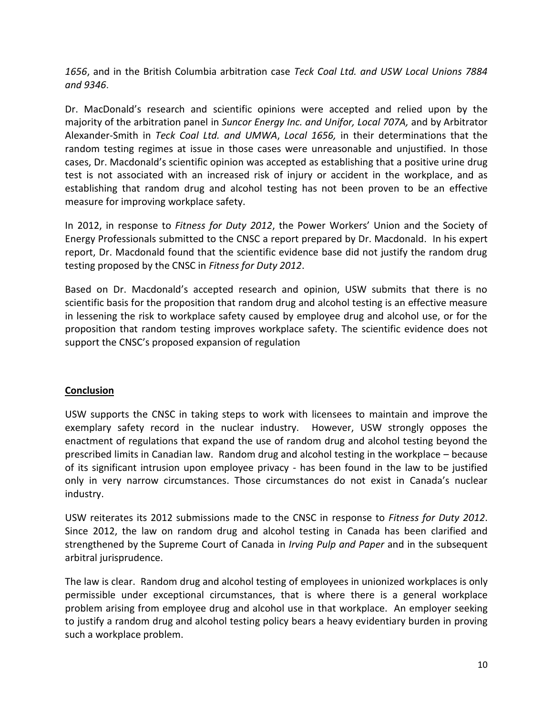*1656*, and in the British Columbia arbitration case *Teck Coal Ltd. and USW Local Unions 7884 and 9346*.

Dr. MacDonald's research and scientific opinions were accepted and relied upon by the majority of the arbitration panel in *Suncor Energy Inc. and Unifor, Local 707A,* and by Arbitrator Alexander-Smith in *Teck Coal Ltd. and UMWA*, *Local 1656,* in their determinations that the random testing regimes at issue in those cases were unreasonable and unjustified. In those cases, Dr. Macdonald's scientific opinion was accepted as establishing that a positive urine drug test is not associated with an increased risk of injury or accident in the workplace, and as establishing that random drug and alcohol testing has not been proven to be an effective measure for improving workplace safety.

In 2012, in response to *Fitness for Duty 2012*, the Power Workers' Union and the Society of Energy Professionals submitted to the CNSC a report prepared by Dr. Macdonald. In his expert report, Dr. Macdonald found that the scientific evidence base did not justify the random drug testing proposed by the CNSC in *Fitness for Duty 2012*.

Based on Dr. Macdonald's accepted research and opinion, USW submits that there is no scientific basis for the proposition that random drug and alcohol testing is an effective measure in lessening the risk to workplace safety caused by employee drug and alcohol use, or for the proposition that random testing improves workplace safety. The scientific evidence does not support the CNSC's proposed expansion of regulation

## **Conclusion**

USW supports the CNSC in taking steps to work with licensees to maintain and improve the exemplary safety record in the nuclear industry. However, USW strongly opposes the enactment of regulations that expand the use of random drug and alcohol testing beyond the prescribed limits in Canadian law. Random drug and alcohol testing in the workplace – because of its significant intrusion upon employee privacy - has been found in the law to be justified only in very narrow circumstances. Those circumstances do not exist in Canada's nuclear industry.

USW reiterates its 2012 submissions made to the CNSC in response to *Fitness for Duty 2012*. Since 2012, the law on random drug and alcohol testing in Canada has been clarified and strengthened by the Supreme Court of Canada in *Irving Pulp and Paper* and in the subsequent arbitral jurisprudence.

The law is clear. Random drug and alcohol testing of employees in unionized workplaces is only permissible under exceptional circumstances, that is where there is a general workplace problem arising from employee drug and alcohol use in that workplace. An employer seeking to justify a random drug and alcohol testing policy bears a heavy evidentiary burden in proving such a workplace problem.